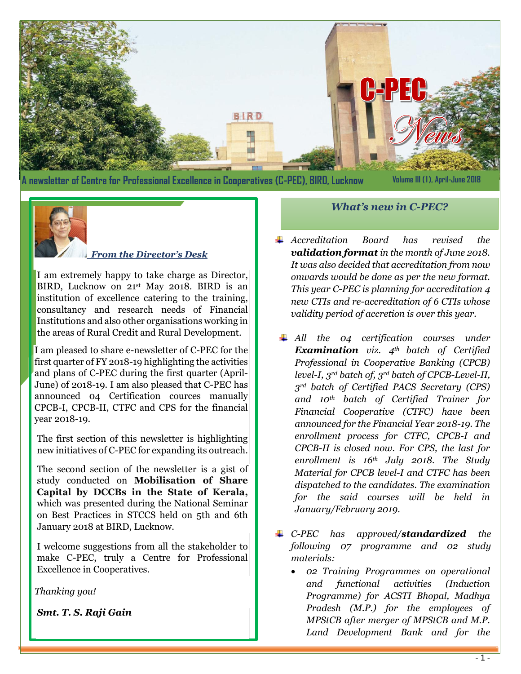

**A newsletter of Centre for Professional Excellence in Cooperatives (C-PEC), BIRD, Lucknow**

**Volume III (I), April-June 2018**



#### *From the Director's Desk*

I am extremely happy to take charge as Director, BIRD, Lucknow on 21st May 2018. BIRD is an institution of excellence catering to the training, consultancy and research needs of Financial Institutions and also other organisations working in the areas of Rural Credit and Rural Development.

I am pleased to share e-newsletter of C-PEC for the first quarter of FY 2018-19 highlighting the activities and plans of C-PEC during the first quarter (April-June) of 2018-19. I am also pleased that C-PEC has announced 04 Certification cources manually CPCB-I, CPCB-II, CTFC and CPS for the financial year 2018-19.

The first section of this newsletter is highlighting new initiatives of C-PEC for expanding its outreach.

The second section of the newsletter is a gist of study conducted on **Mobilisation of Share Capital by DCCBs in the State of Kerala,** which was presented during the National Seminar on Best Practices in STCCS held on 5th and 6th January 2018 at BIRD, Lucknow.

I welcome suggestions from all the stakeholder to make C-PEC, truly a Centre for Professional Excellence in Cooperatives.

*Thanking you!*

*Smt. T. S. Raji Gain*

- *What's new in C-PEC?*
- *Accreditation Board has revised the validation format in the month of June 2018. It was also decided that accreditation from now onwards would be done as per the new format. This year C-PEC is planning for accreditation 4 new CTIs and re-accreditation of 6 CTIs whose validity period of accretion is over this year.*
- *All the 04 certification courses under Examination viz. 4th batch of Certified Professional in Cooperative Banking (CPCB) level-I, 3rd batch of, 3rd batch of CPCB-Level-II, 3rd batch of Certified PACS Secretary (CPS) and 10th batch of Certified Trainer for Financial Cooperative (CTFC) have been announced for the Financial Year 2018-19. The enrollment process for CTFC, CPCB-I and CPCB-II is closed now. For CPS, the last for enrollment is 16th July 2018. The Study Material for CPCB level-I and CTFC has been dispatched to the candidates. The examination for the said courses will be held in January/February 2019.*
- *C-PEC has approved/standardized the following 07 programme and 02 study materials:*
	- *02 Training Programmes on operational and functional activities (Induction Programme) for ACSTI Bhopal, Madhya Pradesh (M.P.) for the employees of MPStCB after merger of MPStCB and M.P. Land Development Bank and for the*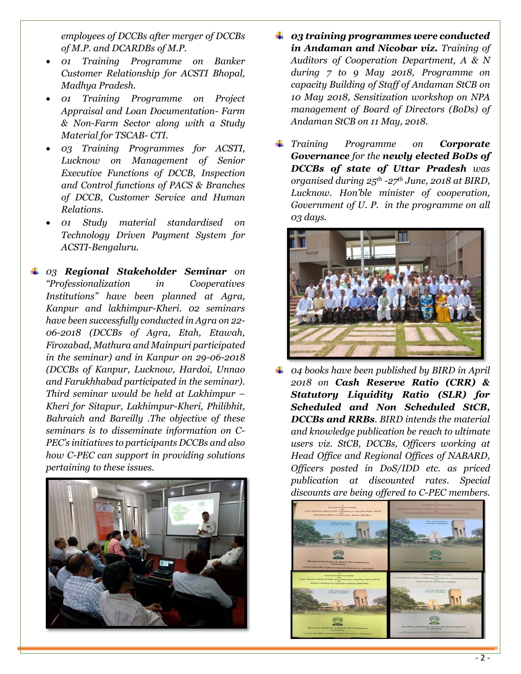*employees of DCCBs after merger of DCCBs of M.P. and DCARDBs of M.P.*

- *01 Training Programme on Banker Customer Relationship for ACSTI Bhopal, Madhya Pradesh.*
- *01 Training Programme on Project Appraisal and Loan Documentation- Farm & Non-Farm Sector along with a Study Material for TSCAB- CTI.*
- *03 Training Programmes for ACSTI, Lucknow on Management of Senior Executive Functions of DCCB, Inspection and Control functions of PACS & Branches of DCCB, Customer Service and Human Relations.*
- *01 Study material standardised on Technology Driven Payment System for ACSTI-Bengaluru.*
- *03 Regional Stakeholder Seminar on "Professionalization in Cooperatives Institutions" have been planned at Agra, Kanpur and lakhimpur-Kheri. 02 seminars have been successfully conducted in Agra on 22- 06-2018 (DCCBs of Agra, Etah, Etawah, Firozabad, Mathura and Mainpuri participated in the seminar) and in Kanpur on 29-06-2018 (DCCBs of Kanpur, Lucknow, Hardoi, Unnao and Farukhhabad participated in the seminar). Third seminar would be held at Lakhimpur – Kheri for Sitapur, Lakhimpur-Kheri, Philibhit, Bahraich and Bareilly .The objective of these seminars is to disseminate information on C-PEC's initiatives to participants DCCBs and also how C-PEC can support in providing solutions pertaining to these issues.*



- *03 training programmes were conducted in Andaman and Nicobar viz. Training of Auditors of Cooperation Department, A & N during 7 to 9 May 2018, Programme on capacity Building of Staff of Andaman StCB on 10 May 2018, Sensitization workshop on NPA management of Board of Directors (BoDs) of Andaman StCB on 11 May, 2018.*
- *Training Programme on Corporate Governance for the newly elected BoDs of DCCBs of state of Uttar Pradesh was organised during 25th -27th June, 2018 at BIRD, Lucknow. Hon'ble minister of cooperation, Government of U. P. in the programme on all 03 days.*



*04 books have been published by BIRD in April 2018 on Cash Reserve Ratio (CRR) & Statutory Liquidity Ratio (SLR) for Scheduled and Non Scheduled StCB, DCCBs and RRBs. BIRD intends the material and knowledge publication be reach to ultimate users viz. StCB, DCCBs, Officers working at Head Office and Regional Offices of NABARD, Officers posted in DoS/IDD etc. as priced publication at discounted rates. Special discounts are being offered to C-PEC members.*

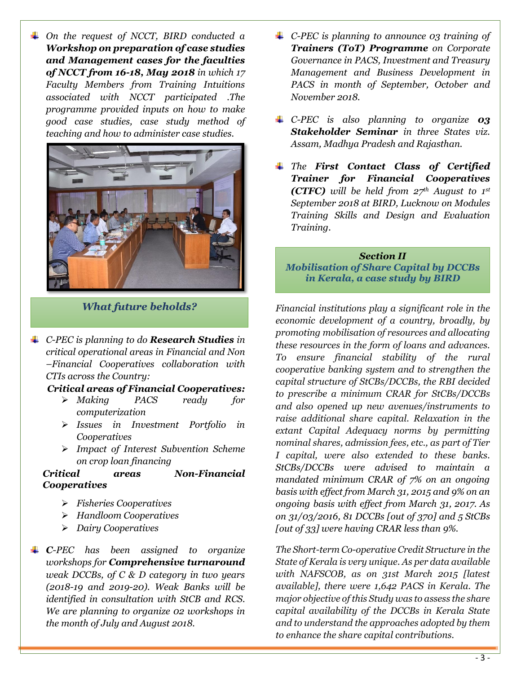*On the request of NCCT, BIRD conducted a Workshop on preparation of case studies and Management cases for the faculties of NCCT from 16-18, May 2018 in which 17 Faculty Members from Training Intuitions associated with NCCT participated .The programme provided inputs on how to make good case studies, case study method of teaching and how to administer case studies.* 



*What future beholds?*

*C-PEC is planning to do Research Studies in critical operational areas in Financial and Non –Financial Cooperatives collaboration with CTIs across the Country:* 

#### *Critical areas of Financial Cooperatives:*

- *Making PACS ready for computerization*
- *Issues in Investment Portfolio in Cooperatives*
- *Impact of Interest Subvention Scheme on crop loan financing*

#### *Critical areas Non-Financial Cooperatives*

- *Fisheries Cooperatives*
- *Handloom Cooperatives*
- *Dairy Cooperatives*
- *C-PEC has been assigned to organize workshops for Comprehensive turnaround weak DCCBs, of C & D category in two years (2018-19 and 2019-20). Weak Banks will be identified in consultation with StCB and RCS. We are planning to organize 02 workshops in the month of July and August 2018.*
- *C-PEC is planning to announce 03 training of Trainers (ToT) Programme on Corporate Governance in PACS, Investment and Treasury Management and Business Development in PACS in month of September, October and November 2018.*
- *C-PEC is also planning to organize 03 Stakeholder Seminar in three States viz. Assam, Madhya Pradesh and Rajasthan.*
- *The First Contact Class of Certified Trainer for Financial Cooperatives (CTFC) will be held from 27th August to 1st September 2018 at BIRD, Lucknow on Modules Training Skills and Design and Evaluation Training.*

#### *Section II Mobilisation of Share Capital by DCCBs in Kerala, a case study by BIRD*

*Financial institutions play a significant role in the economic development of a country, broadly, by promoting mobilisation of resources and allocating these resources in the form of loans and advances. To ensure financial stability of the rural cooperative banking system and to strengthen the capital structure of StCBs/DCCBs, the RBI decided to prescribe a minimum CRAR for StCBs/DCCBs and also opened up new avenues/instruments to raise additional share capital. Relaxation in the extant Capital Adequacy norms by permitting nominal shares, admission fees, etc., as part of Tier I capital, were also extended to these banks. StCBs/DCCBs were advised to maintain a mandated minimum CRAR of 7% on an ongoing basis with effect from March 31, 2015 and 9% on an ongoing basis with effect from March 31, 2017. As on 31/03/2016, 81 DCCBs [out of 370] and 5 StCBs [out of 33] were having CRAR less than 9%.*

*The Short-term Co-operative Credit Structure in the State of Kerala is very unique. As per data available with NAFSCOB, as on 31st March 2015 [latest available], there were 1,642 PACS in Kerala. The major objective of this Study was to assess the share capital availability of the DCCBs in Kerala State and to understand the approaches adopted by them to enhance the share capital contributions.*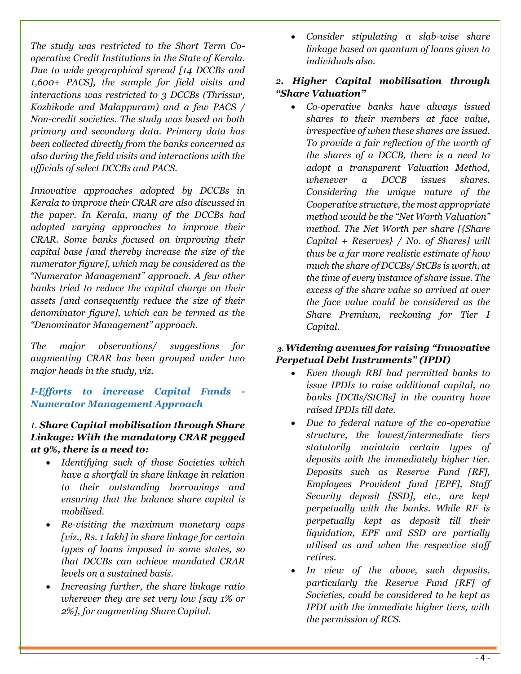*The study was restricted to the Short Term Cooperative Credit Institutions in the State of Kerala. Due to wide geographical spread [14 DCCBs and 1,600+ PACS], the sample for field visits and interactions was restricted to 3 DCCBs (Thrissur, Kozhikode and Malappuram) and a few PACS / Non-credit societies. The study was based on both primary and secondary data. Primary data has been collected directly from the banks concerned as also during the field visits and interactions with the officials of select DCCBs and PACS.* 

*Innovative approaches adopted by DCCBs in Kerala to improve their CRAR are also discussed in the paper. In Kerala, many of the DCCBs had adopted varying approaches to improve their CRAR. Some banks focused on improving their capital base [and thereby increase the size of the numerator figure], which may be considered as the "Numerator Management" approach. A few other banks tried to reduce the capital charge on their assets [and consequently reduce the size of their denominator figure], which can be termed as the "Denominator Management" approach.* 

*The major observations/ suggestions for augmenting CRAR has been grouped under two major heads in the study, viz.*

*I-Efforts to increase Capital Funds - Numerator Management Approach*

# *1. Share Capital mobilisation through Share Linkage: With the mandatory CRAR pegged at 9%, there is a need to:*

- *Identifying such of those Societies which have a shortfall in share linkage in relation to their outstanding borrowings and ensuring that the balance share capital is mobilised.*
- *Re-visiting the maximum monetary caps [viz., Rs. 1 lakh] in share linkage for certain types of loans imposed in some states, so that DCCBs can achieve mandated CRAR levels on a sustained basis.*
- *Increasing further, the share linkage ratio wherever they are set very low [say 1% or 2%], for augmenting Share Capital.*

 *Consider stipulating a slab-wise share linkage based on quantum of loans given to individuals also.* 

# *2. Higher Capital mobilisation through "Share Valuation"*

 *Co-operative banks have always issued shares to their members at face value, irrespective of when these shares are issued. To provide a fair reflection of the worth of the shares of a DCCB, there is a need to adopt a transparent Valuation Method, whenever a DCCB issues shares. Considering the unique nature of the Cooperative structure, the most appropriate method would be the "Net Worth Valuation" method. The Net Worth per share [{Share Capital + Reserves} / No. of Shares] will thus be a far more realistic estimate of how much the share of DCCBs/ StCBs is worth, at the time of every instance of share issue. The excess of the share value so arrived at over the face value could be considered as the Share Premium, reckoning for Tier I Capital.*

# *3. Widening avenues for raising "Innovative Perpetual Debt Instruments" (IPDI)*

- *Even though RBI had permitted banks to issue IPDIs to raise additional capital, no banks [DCBs/StCBs] in the country have raised IPDIs till date.*
- *Due to federal nature of the co-operative structure, the lowest/intermediate tiers statutorily maintain certain types of deposits with the immediately higher tier. Deposits such as Reserve Fund [RF], Employees Provident fund [EPF], Staff Security deposit [SSD], etc., are kept perpetually with the banks. While RF is perpetually kept as deposit till their liquidation, EPF and SSD are partially utilised as and when the respective staff retires.*
- *In view of the above, such deposits, particularly the Reserve Fund [RF] of Societies, could be considered to be kept as IPDI with the immediate higher tiers, with the permission of RCS.*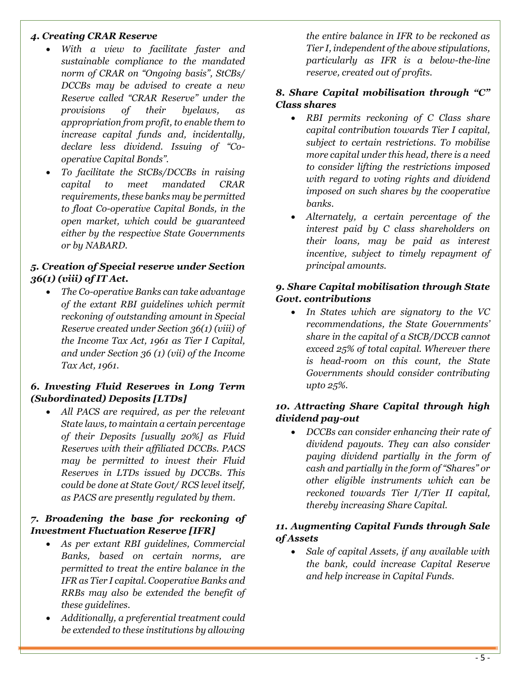### *4. Creating CRAR Reserve*

- *With a view to facilitate faster and sustainable compliance to the mandated norm of CRAR on "Ongoing basis", StCBs/ DCCBs may be advised to create a new Reserve called "CRAR Reserve" under the provisions of their byelaws, as appropriation from profit, to enable them to increase capital funds and, incidentally, declare less dividend. Issuing of "Cooperative Capital Bonds".*
- *To facilitate the StCBs/DCCBs in raising capital to meet mandated CRAR requirements, these banks may be permitted to float Co-operative Capital Bonds, in the open market, which could be guaranteed either by the respective State Governments or by NABARD.*

# *5. Creation of Special reserve under Section 36(1) (viii) of IT Act.*

 *The Co-operative Banks can take advantage of the extant RBI guidelines which permit reckoning of outstanding amount in Special Reserve created under Section 36(1) (viii) of the Income Tax Act, 1961 as Tier I Capital, and under Section 36 (1) (vii) of the Income Tax Act, 1961.*

# *6. Investing Fluid Reserves in Long Term (Subordinated) Deposits [LTDs]*

 *All PACS are required, as per the relevant State laws, to maintain a certain percentage of their Deposits [usually 20%] as Fluid Reserves with their affiliated DCCBs. PACS may be permitted to invest their Fluid Reserves in LTDs issued by DCCBs. This could be done at State Govt/ RCS level itself, as PACS are presently regulated by them.*

### *7. Broadening the base for reckoning of Investment Fluctuation Reserve [IFR]*

- *As per extant RBI guidelines, Commercial Banks, based on certain norms, are permitted to treat the entire balance in the IFR as Tier I capital. Cooperative Banks and RRBs may also be extended the benefit of these guidelines.*
- *Additionally, a preferential treatment could be extended to these institutions by allowing*

*the entire balance in IFR to be reckoned as Tier I, independent of the above stipulations, particularly as IFR is a below-the-line reserve, created out of profits.*

# *8. Share Capital mobilisation through "C" Class shares*

- *RBI permits reckoning of C Class share capital contribution towards Tier I capital, subject to certain restrictions. To mobilise more capital under this head, there is a need to consider lifting the restrictions imposed with regard to voting rights and dividend imposed on such shares by the cooperative banks.*
- *Alternately, a certain percentage of the interest paid by C class shareholders on their loans, may be paid as interest incentive, subject to timely repayment of principal amounts.*

### *9. Share Capital mobilisation through State Govt. contributions*

 *In States which are signatory to the VC recommendations, the State Governments' share in the capital of a StCB/DCCB cannot exceed 25% of total capital. Wherever there is head-room on this count, the State Governments should consider contributing upto 25%.*

### *10. Attracting Share Capital through high dividend pay-out*

 *DCCBs can consider enhancing their rate of dividend payouts. They can also consider paying dividend partially in the form of cash and partially in the form of "Shares" or other eligible instruments which can be reckoned towards Tier I/Tier II capital, thereby increasing Share Capital.*

# *11. Augmenting Capital Funds through Sale of Assets*

 *Sale of capital Assets, if any available with the bank, could increase Capital Reserve and help increase in Capital Funds.*